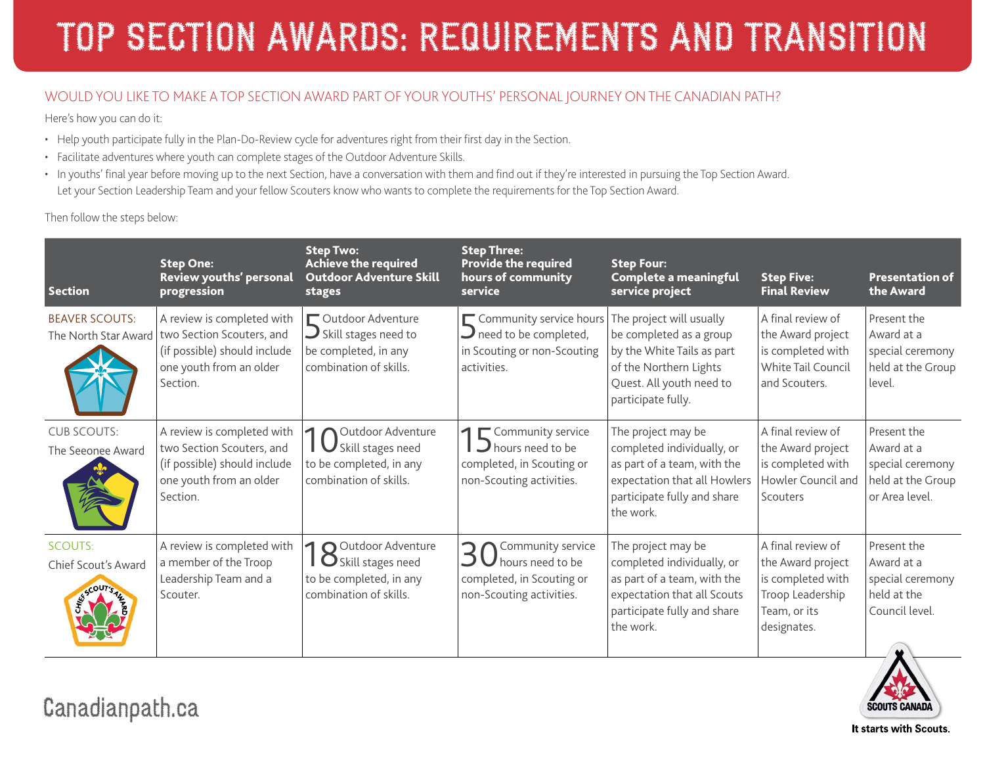### WOULD YOU LIKE TO MAKE A TOP SECTION AWARD PART OF YOUR YOUTHS' PERSONAL JOURNEY ON THE CANADIAN PATH?

Here's how you can do it:

- Help youth participate fully in the Plan-Do-Review cycle for adventures right from their first day in the Section.
- Facilitate adventures where youth can complete stages of the Outdoor Adventure Skills.
- In youths' final year before moving up to the next Section, have a conversation with them and find out if they're interested in pursuing the Top Section Award. Let your Section Leadership Team and your fellow Scouters know who wants to complete the requirements for the Top Section Award.

Then follow the steps below:

| <b>Section</b>                          | <b>Step One:</b><br>Review youths' personal<br>progression                                                                                            | <b>Step Two:</b><br>Achieve the required<br><b>Outdoor Adventure Skill</b><br>stages                        | <b>Step Three:</b><br><b>Provide the required</b><br>hours of community<br>service                                    | <b>Step Four:</b><br>Complete a meaningful<br>service project                                                                                                 | <b>Step Five:</b><br><b>Final Review</b>                                                                       | <b>Presentation of</b><br>the Award                                                  |
|-----------------------------------------|-------------------------------------------------------------------------------------------------------------------------------------------------------|-------------------------------------------------------------------------------------------------------------|-----------------------------------------------------------------------------------------------------------------------|---------------------------------------------------------------------------------------------------------------------------------------------------------------|----------------------------------------------------------------------------------------------------------------|--------------------------------------------------------------------------------------|
| <b>BEAVER SCOUTS:</b>                   | A review is completed with<br>The North Star Award   two Section Scouters, and<br>(if possible) should include<br>one youth from an older<br>Section. | Outdoor Adventure<br>$\bigcup$ Skill stages need to<br>be completed, in any<br>combination of skills.       | Community service hours<br>$\mathbf{\mathcal{J}}$ need to be completed,<br>in Scouting or non-Scouting<br>activities. | The project will usually<br>be completed as a group<br>by the White Tails as part<br>of the Northern Lights<br>Quest. All youth need to<br>participate fully. | A final review of<br>the Award project<br>is completed with<br>White Tail Council<br>and Scouters.             | Present the<br>Award at a<br>special ceremony<br>held at the Group<br>level.         |
| <b>CUB SCOUTS:</b><br>The Seeonee Award | A review is completed with<br>two Section Scouters, and<br>(if possible) should include<br>one youth from an older<br>Section.                        | Outdoor Adventure<br>◀<br><b>I</b> U Skill stages need<br>to be completed, in any<br>combination of skills. | 1 Community service<br>hours need to be<br>completed, in Scouting or<br>non-Scouting activities.                      | The project may be<br>completed individually, or<br>as part of a team, with the<br>expectation that all Howlers<br>participate fully and share<br>the work.   | A final review of<br>the Award project<br>is completed with<br>Howler Council and<br>Scouters                  | Present the<br>Award at a<br>special ceremony<br>held at the Group<br>or Area level. |
| <b>SCOUTS:</b><br>Chief Scout's Award   | A review is completed with<br>a member of the Troop<br>Leadership Team and a<br>Scouter.                                                              | O Outdoor Adventure<br><b>O</b> Skill stages need<br>to be completed, in any<br>combination of skills.      | Community service<br>hours need to be<br>completed, in Scouting or<br>non-Scouting activities.                        | The project may be<br>completed individually, or<br>as part of a team, with the<br>expectation that all Scouts<br>participate fully and share<br>the work.    | A final review of<br>the Award project<br>is completed with<br>Troop Leadership<br>Team, or its<br>designates. | Present the<br>Award at a<br>special ceremony<br>held at the<br>Council level.       |

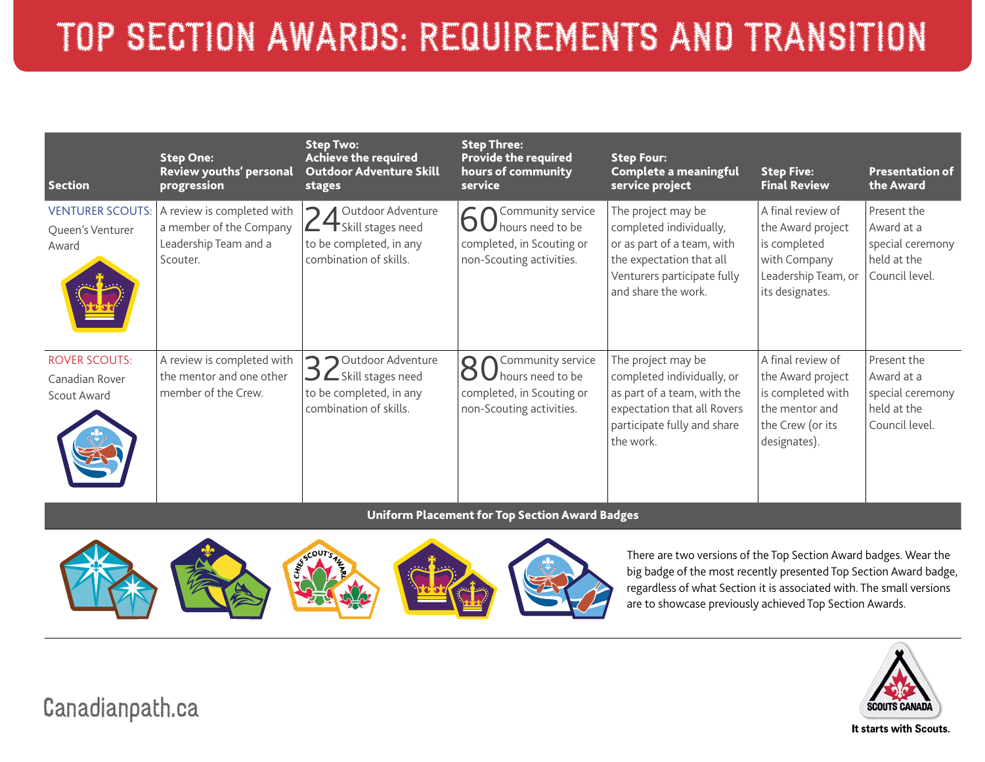## TOP SECTION AWARDS: REQUIREMENTS AND TRANSITION

| <b>Section</b>                                        | <b>Step One:</b><br>Review youths' personal<br>progression                                 | Step Two:<br>Achieve the required<br><b>Outdoor Adventure Skill</b><br>stages                                                    | <b>Step Three:</b><br><b>Provide the required</b><br>hours of community<br>service             | <b>Step Four:</b><br>Complete a meaningful<br>service project                                                                                                 | <b>Step Five:</b><br><b>Final Review</b>                                                                          | <b>Presentation of</b><br>the Award                                            |
|-------------------------------------------------------|--------------------------------------------------------------------------------------------|----------------------------------------------------------------------------------------------------------------------------------|------------------------------------------------------------------------------------------------|---------------------------------------------------------------------------------------------------------------------------------------------------------------|-------------------------------------------------------------------------------------------------------------------|--------------------------------------------------------------------------------|
| <b>VENTURER SCOUTS:</b><br>Queen's Venturer<br>Award  | A review is completed with<br>a member of the Company<br>Leadership Team and a<br>Scouter. | Outdoor Adventure<br>$\mathsf{\Sigma}\mathsf{\mathsf{T}}$ Skill stages need<br>to be completed, in any<br>combination of skills. | Community service<br>hours need to be<br>completed, in Scouting or<br>non-Scouting activities. | The project may be<br>completed individually,<br>or as part of a team, with<br>the expectation that all<br>Venturers participate fully<br>and share the work. | A final review of<br>the Award project<br>is completed<br>with Company<br>Leadership Team, or<br>its designates.  | Present the<br>Award at a<br>special ceremony<br>held at the<br>Council level. |
| <b>ROVER SCOUTS:</b><br>Canadian Rover<br>Scout Award | A review is completed with<br>the mentor and one other<br>member of the Crew.              | Outdoor Adventure<br>$\cup$ $\mathsf{\subseteq}$ Skill stages need<br>to be completed, in any<br>combination of skills.          | Community service<br>hours need to be<br>completed, in Scouting or<br>non-Scouting activities. | The project may be<br>completed individually, or<br>as part of a team, with the<br>expectation that all Rovers<br>participate fully and share<br>the work.    | A final review of<br>the Award project<br>is completed with<br>the mentor and<br>the Crew (or its<br>designates). | Present the<br>Award at a<br>special ceremony<br>held at the<br>Council level. |

#### Uniform Placement for Top Section Award Badges



There are two versions of the Top Section Award badges. Wear the big badge of the most recently presented Top Section Award badge, regardless of what Section it is associated with. The small versions are to showcase previously achieved Top Section Awards.



Canadianpath.ca

It starts with Scouts.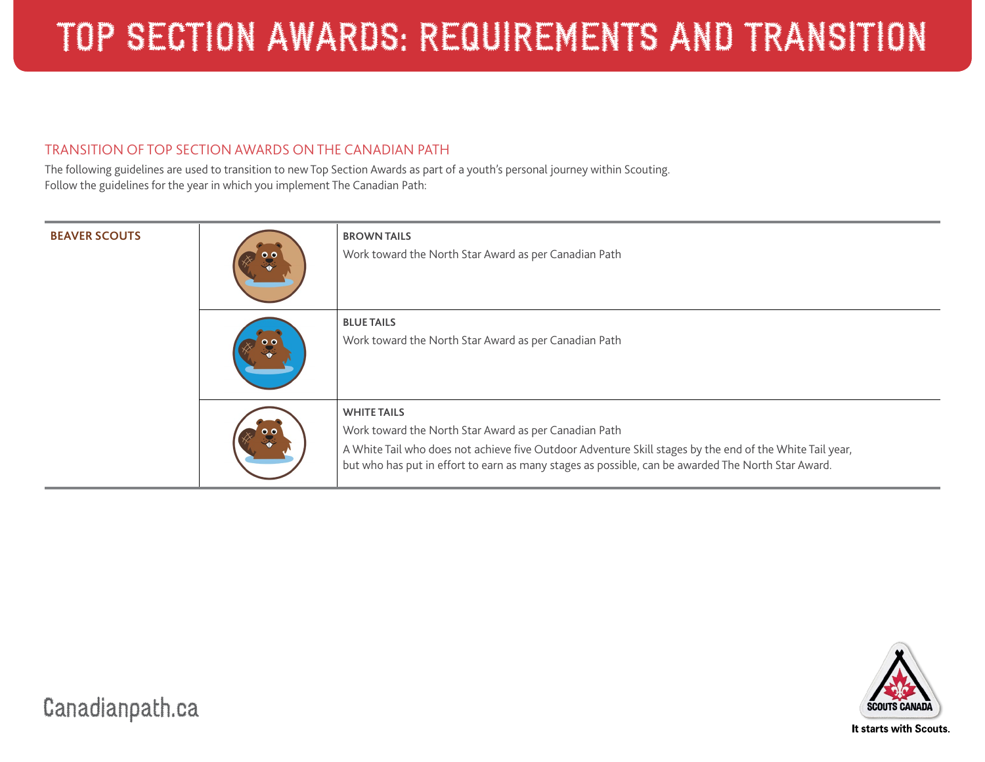#### TRANSITION OF TOP SECTION AWARDS ON THE CANADIAN PATH

The following guidelines are used to transition to new Top Section Awards as part of a youth's personal journey within Scouting. Follow the guidelines for the year in which you implement The Canadian Path:

| <b>BEAVER SCOUTS</b> | $\bullet\bullet$    | <b>BROWN TAILS</b><br>Work toward the North Star Award as per Canadian Path                                                                                                                                                                                                                   |
|----------------------|---------------------|-----------------------------------------------------------------------------------------------------------------------------------------------------------------------------------------------------------------------------------------------------------------------------------------------|
|                      | $\bullet$ $\bullet$ | <b>BLUE TAILS</b><br>Work toward the North Star Award as per Canadian Path                                                                                                                                                                                                                    |
|                      |                     | <b>WHITE TAILS</b><br>Work toward the North Star Award as per Canadian Path<br>A White Tail who does not achieve five Outdoor Adventure Skill stages by the end of the White Tail year,<br>but who has put in effort to earn as many stages as possible, can be awarded The North Star Award. |

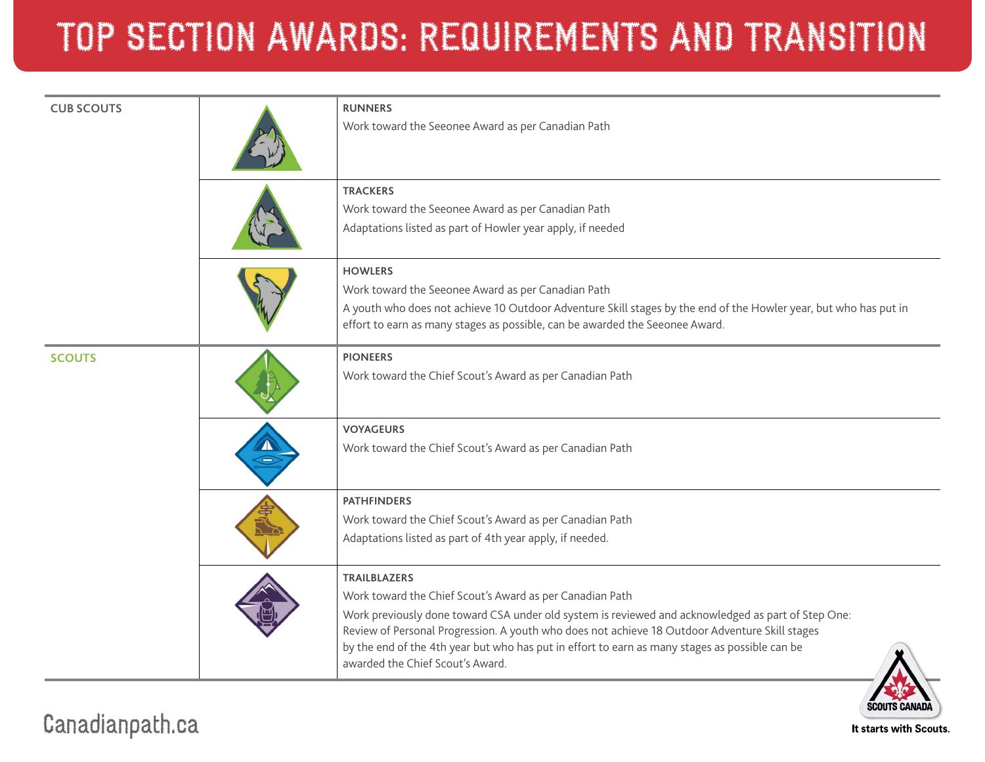# TOP SECTION AWARDS: REQUIREMENTS AND TRANSITION

| <b>CUB SCOUTS</b> | <b>RUNNERS</b><br>Work toward the Seeonee Award as per Canadian Path                                                                                                                                                                                                                                                                                                                                                          |
|-------------------|-------------------------------------------------------------------------------------------------------------------------------------------------------------------------------------------------------------------------------------------------------------------------------------------------------------------------------------------------------------------------------------------------------------------------------|
|                   | <b>TRACKERS</b><br>Work toward the Seeonee Award as per Canadian Path<br>Adaptations listed as part of Howler year apply, if needed                                                                                                                                                                                                                                                                                           |
|                   | <b>HOWLERS</b><br>Work toward the Seeonee Award as per Canadian Path<br>A youth who does not achieve 10 Outdoor Adventure Skill stages by the end of the Howler year, but who has put in<br>effort to earn as many stages as possible, can be awarded the Seeonee Award.                                                                                                                                                      |
| <b>SCOUTS</b>     | <b>PIONEERS</b><br>Work toward the Chief Scout's Award as per Canadian Path                                                                                                                                                                                                                                                                                                                                                   |
|                   | <b>VOYAGEURS</b><br>Work toward the Chief Scout's Award as per Canadian Path                                                                                                                                                                                                                                                                                                                                                  |
|                   | <b>PATHFINDERS</b><br>Work toward the Chief Scout's Award as per Canadian Path<br>Adaptations listed as part of 4th year apply, if needed.                                                                                                                                                                                                                                                                                    |
|                   | <b>TRAILBLAZERS</b><br>Work toward the Chief Scout's Award as per Canadian Path<br>Work previously done toward CSA under old system is reviewed and acknowledged as part of Step One:<br>Review of Personal Progression. A youth who does not achieve 18 Outdoor Adventure Skill stages<br>by the end of the 4th year but who has put in effort to earn as many stages as possible can be<br>awarded the Chief Scout's Award. |

**EDIC SCOUTS CANADA** It starts with Scouts.